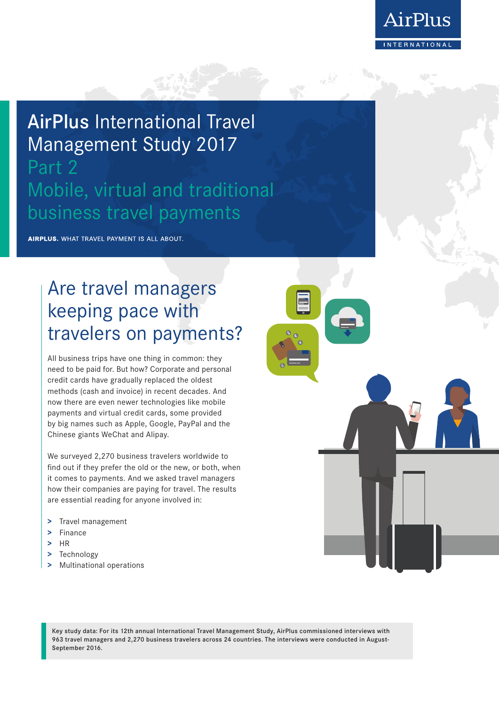

# AirPlus International Travel Management Study 2017

## Part 2 Mobile, virtual and traditional business travel payments

AIRPLUS. WHAT TRAVEL PAYMENT IS ALL ABOUT.

## Are travel managers keeping pace with travelers on payments?

All business trips have one thing in common: they need to be paid for. But how? Corporate and personal credit cards have gradually replaced the oldest methods (cash and invoice) in recent decades. And now there are even newer technologies like mobile payments and virtual credit cards, some provided by big names such as Apple, Google, PayPal and the Chinese giants WeChat and Alipay.

We surveyed 2,270 business travelers worldwide to find out if they prefer the old or the new, or both, when it comes to payments. And we asked travel managers how their companies are paying for travel. The results are essential reading for anyone involved in:

- **>** Travel management
- **>** Finance
- **>** HR
- **>** Technology
- **>** Multinational operations

Key study data: For its 12th annual International Travel Management Study, AirPlus commissioned interviews with 963 travel managers and 2,270 business travelers across 24 countries. The interviews were conducted in August-September 2016.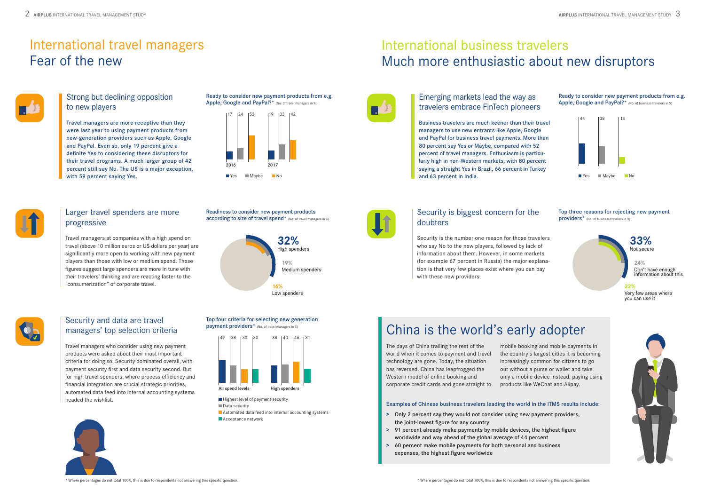### Strong but declining opposition to new players

Travel managers are more receptive than they were last year to using payment products from new-generation providers such as Apple, Google and PayPal. Even so, only 19 percent give a definite Yes to considering these disruptors for their travel programs. A much larger group of 42 percent still say No. The US is a major exception, with 59 percent saying Yes.

## Larger travel spenders are more progressive

Travel managers at companies with a high spend on travel (above 10 million euros or US dollars per year) are significantly more open to working with new payment players than those with low or medium spend. These figures suggest large spenders are more in tune with their travelers' thinking and are reacting faster to the "consumerization" of corporate travel.

## Security and data are travel managers' top selection criteria

Travel managers who consider using new payment products were asked about their most important criteria for doing so. Security dominated overall, with payment security first and data security second. But for high travel spenders, where process efficiency and financial integration are crucial strategic priorities, automated data feed into internal accounting systems headed the wishlist.



Top three reasons for rejecting new payment providers<sup>\*</sup> (No. of business travelers in %)

Ready to consider new payment products from e.g. Apple, Google and PayPal?\* (No. of travel managers in %)

Readiness to consider new payment products according to size of travel spend<sup>\*</sup> (No. of travel managers in %)

## International business travelers Much more enthusiastic about new disruptors



## International travel managers Fear of the new



Ready to consider new payment products from e.g. Apple, Google and PayPal?\* (No. of business travelers in %)

### Emerging markets lead the way as travelers embrace FinTech pioneers

Business travelers are much keener than their travel managers to use new entrants like Apple, Google and PayPal for business travel payments. More than 80 percent say Yes or Maybe, compared with 52 percent of travel managers. Enthusiasm is particularly high in non-Western markets, with 80 percent saying a straight Yes in Brazil, 66 percent in Turkey and 63 percent in India.



## Security is biggest concern for the doubters

Security is the number one reason for those travelers who say No to the new players, followed by lack of information about them. However, in some markets (for example 67 percent in Russia) the major explanation is that very few places exist where you can pay with these new providers.





 $\blacksquare$  Highest level of payment security **Automated data feed into internal accounting systems Data** security

**Acceptance network** 

#### Top four criteria for selecting new generation payment providers\* (No. of travel managers in %)



# China is the world's early adopter

The days of China trailing the rest of the world when it comes to payment and travel technology are gone. Today, the situation has reversed. China has leapfrogged the Western model of online booking and corporate credit cards and gone straight to

mobile booking and mobile payments.In the country's largest cities it is becoming increasingly common for citizens to go out without a purse or wallet and take only a mobile device instead, paying using products like WeChat and Alipay.

#### Examples of Chinese business travelers leading the world in the ITMS results include:

- **>** Only 2 percent say they would not consider using new payment providers, the joint-lowest figure for any country
- **>** 91 percent already make payments by mobile devices, the highest figure worldwide and way ahead of the global average of 44 percent
- **>** 60 percent make mobile payments for both personal and business expenses, the highest figure worldwide





**33%** Not secure

**22%** Very few areas where you can use it



**24%** Don't have enough information about this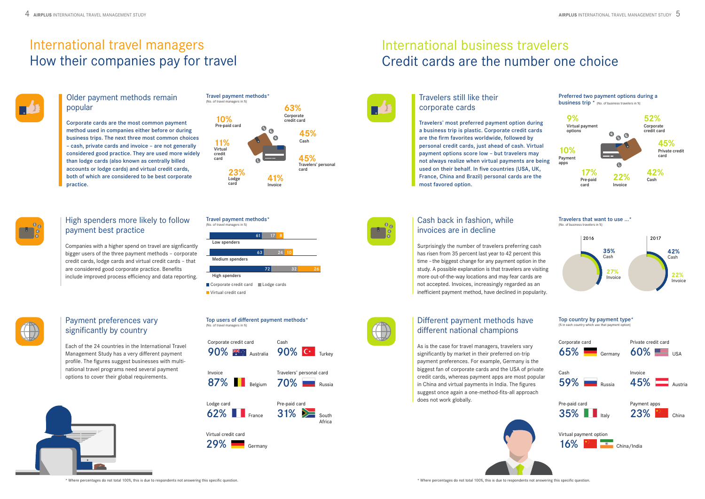#### Older payment methods remain popular

Corporate cards are the most common payment method used in companies either before or during business trips. The next three most common choices – cash, private cards and invoice – are not generally considered good practice. They are used more widely than lodge cards (also known as centrally billed accounts or lodge cards) and virtual credit cards, both of which are considered to be best corporate practice.

## High spenders more likely to follow payment best practice

Companies with a higher spend on travel are signficantly bigger users of the three payment methods – corporate credit cards, lodge cards and virtual credit cards – that are considered good corporate practice. Benefits include improved process efficiency and data reporting.



## Payment preferences vary significantly by country

Each of the 24 countries in the International Travel Management Study has a very different payment profile. The figures suggest businesses with multinational travel programs need several payment options to cover their global requirements.



# International business travelers Credit cards are the number one choice



## International travel managers How their companies pay for travel



## Travelers still like their corporate cards

Travelers' most preferred payment option during a business trip is plastic. Corporate credit cards are the firm favorites worldwide, followed by personal credit cards, just ahead of cash. Virtual payment options score low – but travelers may not always realize when virtual payments are being used on their behalf. In five countries (USA, UK, France, China and Brazil) personal cards are the most favored option.



## Cash back in fashion, while invoices are in decline

Surprisingly the number of travelers preferring cash has risen from 35 percent last year to 42 percent this time – the biggest change for any payment option in the study. A possible explanation is that travelers are visiting more out-of-the-way locations and may fear cards are not accepted. Invoices, increasingly regarded as an inefficient payment method, have declined in popularity.



Travel payment methods\* (No. of travel managers in %)

> **63%** Corporate credit card

> > **45%** Cash

**11%** Virtual

**10%** Pre-paid card



Top users of different payment methods\*

(No. of travel managers in %)





## Different payment methods have different national champions

As is the case for travel managers, travelers vary significantly by market in their preferred on-trip payment preferences. For example, Germany is the biggest fan of corporate cards and the USA of private credit cards, whereas payment apps are most popular in China and virtual payments in India. The figures suggest once again a one-method-fits-all approach does not work globally.













\* Where percentages do not total 100%, this is due to respondents not answering this specific question. \* Where percentages do not total 100%, this is due to respondents not answering this specific question.

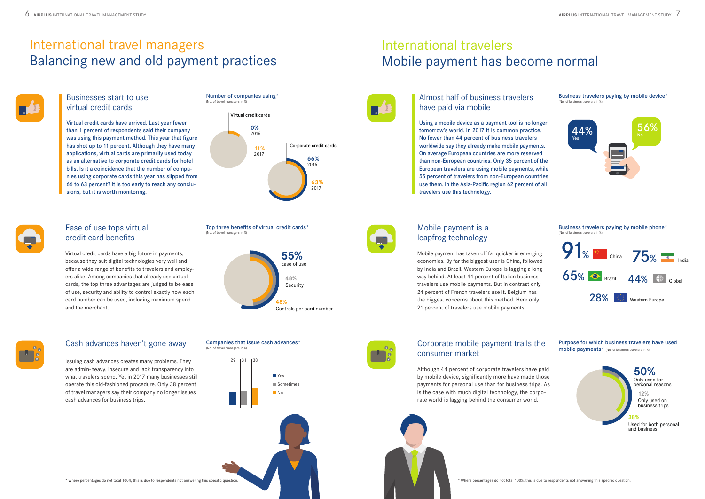### Businesses start to use virtual credit cards

Virtual credit cards have arrived. Last year fewer than 1 percent of respondents said their company was using this payment method. This year that figure has shot up to 11 percent. Although they have many applications, virtual cards are primarily used today as an alternative to corporate credit cards for hotel bills. Is it a coincidence that the number of companies using corporate cards this year has slipped from 66 to 63 percent? It is too early to reach any conclusions, but it is worth monitoring.

## Ease of use tops virtual credit card benefits

Virtual credit cards have a big future in payments, because they suit digital technologies very well and offer a wide range of benefits to travelers and employers alike. Among companies that already use virtual cards, the top three advantages are judged to be ease of use, security and ability to control exactly how each card number can be used, including maximum spend and the merchant.

## Cash advances haven't gone away

Issuing cash advances creates many problems. They are admin-heavy, insecure and lack transparency into what travelers spend. Yet in 2017 many businesses still operate this old-fashioned procedure. Only 38 percent of travel managers say their company no longer issues cash advances for business trips.

# International travelers Mobile payment has become normal



## International travel managers Balancing new and old payment practices

## Almost half of business travelers have paid via mobile

Business travelers paying by mobile device\* (No. of business travelers in %)

Using a mobile device as a payment tool is no longer tomorrow's world. In 2017 it is common practice. No fewer than 44 percent of business travelers worldwide say they already make mobile payments. On average European countries are more reserved than non-European countries. Only 35 percent of the European travelers are using mobile payments, while 55 percent of travelers from non-European countries use them. In the Asia-Pacific region 62 percent of all travelers use this technology.



## Mobile payment is a leapfrog technology

## Corporate mobile payment trails the consumer market

Mobile payment has taken off far quicker in emerging economies. By far the biggest user is China, followed by India and Brazil. Western Europe is lagging a long way behind. At least 44 percent of Italian business travelers use mobile payments. But in contrast only 24 percent of French travelers use it. Belgium has the biggest concerns about this method. Here only 21 percent of travelers use mobile payments.



Although 44 percent of corporate travelers have paid by mobile device, significantly more have made those payments for personal use than for business trips. As is the case with much digital technology, the corporate world is lagging behind the consumer world.







Top three benefits of virtual credit cards\*

f travel managers in %)

#### Companies that issue cash advances\* (No. of travel managers in %)



Business travelers paying by mobile phone\*

(No. of business travelers in %)





Used for both personal and business



Purpose for which business travelers have used mobile payments\* (No. of business travelers in %)